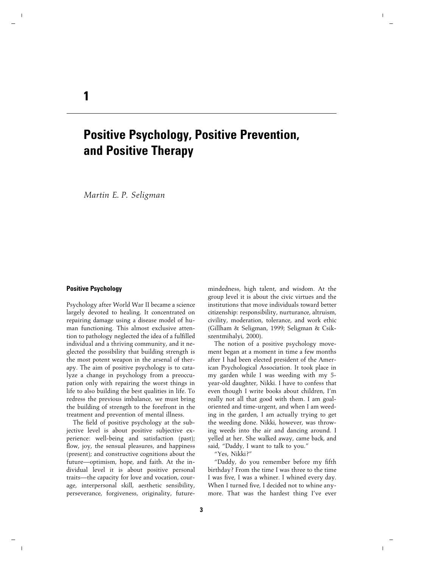# **Positive Psychology, Positive Prevention, and Positive Therapy**

*Martin E. P. Seligman*

## **Positive Psychology**

Psychology after World War II became a science largely devoted to healing. It concentrated on repairing damage using a disease model of human functioning. This almost exclusive attention to pathology neglected the idea of a fulfilled individual and a thriving community, and it neglected the possibility that building strength is the most potent weapon in the arsenal of therapy. The aim of positive psychology is to catalyze a change in psychology from a preoccupation only with repairing the worst things in life to also building the best qualities in life. To redress the previous imbalance, we must bring the building of strength to the forefront in the treatment and prevention of mental illness.

The field of positive psychology at the subjective level is about positive subjective experience: well-being and satisfaction (past); flow, joy, the sensual pleasures, and happiness (present); and constructive cognitions about the future—optimism, hope, and faith. At the individual level it is about positive personal traits—the capacity for love and vocation, courage, interpersonal skill, aesthetic sensibility, perseverance, forgiveness, originality, futuremindedness, high talent, and wisdom. At the group level it is about the civic virtues and the institutions that move individuals toward better citizenship: responsibility, nurturance, altruism, civility, moderation, tolerance, and work ethic (Gillham & Seligman, 1999; Seligman & Csikszentmihalyi, 2000).

The notion of a positive psychology movement began at a moment in time a few months after I had been elected president of the American Psychological Association. It took place in my garden while I was weeding with my 5 year-old daughter, Nikki. I have to confess that even though I write books about children, I'm really not all that good with them. I am goaloriented and time-urgent, and when I am weeding in the garden, I am actually trying to get the weeding done. Nikki, however, was throwing weeds into the air and dancing around. I yelled at her. She walked away, came back, and said, "Daddy, I want to talk to you."

"Yes, Nikki?"

"Daddy, do you remember before my fifth birthday? From the time I was three to the time I was five, I was a whiner. I whined every day. When I turned five, I decided not to whine anymore. That was the hardest thing I've ever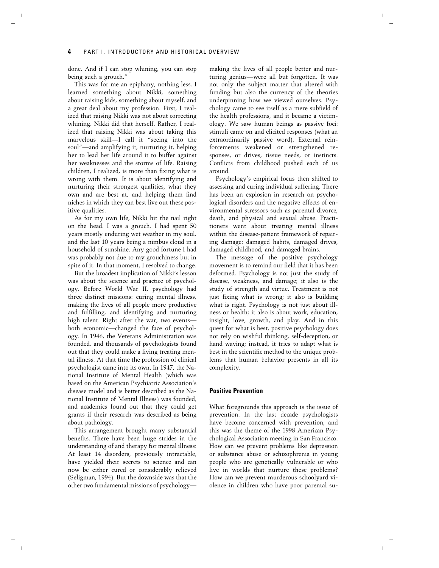done. And if I can stop whining, you can stop being such a grouch."

This was for me an epiphany, nothing less. I learned something about Nikki, something about raising kids, something about myself, and a great deal about my profession. First, I realized that raising Nikki was not about correcting whining. Nikki did that herself. Rather, I realized that raising Nikki was about taking this marvelous skill—I call it "seeing into the soul"—and amplifying it, nurturing it, helping her to lead her life around it to buffer against her weaknesses and the storms of life. Raising children, I realized, is more than fixing what is wrong with them. It is about identifying and nurturing their strongest qualities, what they own and are best at, and helping them find niches in which they can best live out these positive qualities.

As for my own life, Nikki hit the nail right on the head. I was a grouch. I had spent 50 years mostly enduring wet weather in my soul, and the last 10 years being a nimbus cloud in a household of sunshine. Any good fortune I had was probably not due to my grouchiness but in spite of it. In that moment, I resolved to change.

But the broadest implication of Nikki's lesson was about the science and practice of psychology. Before World War II, psychology had three distinct missions: curing mental illness, making the lives of all people more productive and fulfilling, and identifying and nurturing high talent. Right after the war, two events both economic—changed the face of psychology. In 1946, the Veterans Administration was founded, and thousands of psychologists found out that they could make a living treating mental illness. At that time the profession of clinical psychologist came into its own. In 1947, the National Institute of Mental Health (which was based on the American Psychiatric Association's disease model and is better described as the National Institute of Mental Illness) was founded, and academics found out that they could get grants if their research was described as being about pathology.

This arrangement brought many substantial benefits. There have been huge strides in the understanding of and therapy for mental illness: At least 14 disorders, previously intractable, have yielded their secrets to science and can now be either cured or considerably relieved (Seligman, 1994). But the downside was that the other two fundamental missions of psychologymaking the lives of all people better and nurturing genius—were all but forgotten. It was not only the subject matter that altered with funding but also the currency of the theories underpinning how we viewed ourselves. Psychology came to see itself as a mere subfield of the health professions, and it became a victimology. We saw human beings as passive foci: stimuli came on and elicited responses (what an extraordinarily passive word). External reinforcements weakened or strengthened responses, or drives, tissue needs, or instincts. Conflicts from childhood pushed each of us around.

Psychology's empirical focus then shifted to assessing and curing individual suffering. There has been an explosion in research on psychological disorders and the negative effects of environmental stressors such as parental divorce, death, and physical and sexual abuse. Practitioners went about treating mental illness within the disease-patient framework of repairing damage: damaged habits, damaged drives, damaged childhood, and damaged brains.

The message of the positive psychology movement is to remind our field that it has been deformed. Psychology is not just the study of disease, weakness, and damage; it also is the study of strength and virtue. Treatment is not just fixing what is wrong; it also is building what is right. Psychology is not just about illness or health; it also is about work, education, insight, love, growth, and play. And in this quest for what is best, positive psychology does not rely on wishful thinking, self-deception, or hand waving; instead, it tries to adapt what is best in the scientific method to the unique problems that human behavior presents in all its complexity.

### **Positive Prevention**

What foregrounds this approach is the issue of prevention. In the last decade psychologists have become concerned with prevention, and this was the theme of the 1998 American Psychological Association meeting in San Francisco. How can we prevent problems like depression or substance abuse or schizophrenia in young people who are genetically vulnerable or who live in worlds that nurture these problems? How can we prevent murderous schoolyard violence in children who have poor parental su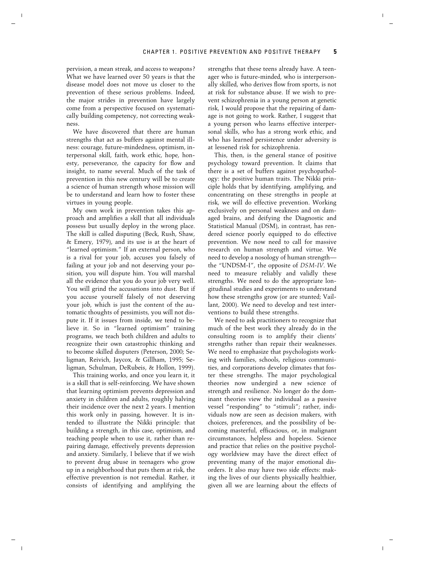pervision, a mean streak, and access to weapons? What we have learned over 50 years is that the disease model does not move us closer to the prevention of these serious problems. Indeed, the major strides in prevention have largely come from a perspective focused on systematically building competency, not correcting weakness.

We have discovered that there are human strengths that act as buffers against mental illness: courage, future-mindedness, optimism, interpersonal skill, faith, work ethic, hope, honesty, perseverance, the capacity for flow and insight, to name several. Much of the task of prevention in this new century will be to create a science of human strength whose mission will be to understand and learn how to foster these virtues in young people.

My own work in prevention takes this approach and amplifies a skill that all individuals possess but usually deploy in the wrong place. The skill is called disputing (Beck, Rush, Shaw, & Emery, 1979), and its use is at the heart of "learned optimism." If an external person, who is a rival for your job, accuses you falsely of failing at your job and not deserving your position, you will dispute him. You will marshal all the evidence that you do your job very well. You will grind the accusations into dust. But if you accuse yourself falsely of not deserving your job, which is just the content of the automatic thoughts of pessimists, you will not dispute it. If it issues from inside, we tend to believe it. So in "learned optimism" training programs, we teach both children and adults to recognize their own catastrophic thinking and to become skilled disputers (Peterson, 2000; Seligman, Reivich, Jaycox, & Gillham, 1995; Seligman, Schulman, DeRubeis, & Hollon, 1999).

This training works, and once you learn it, it is a skill that is self-reinforcing. We have shown that learning optimism prevents depression and anxiety in children and adults, roughly halving their incidence over the next 2 years. I mention this work only in passing, however. It is intended to illustrate the Nikki principle: that building a strength, in this case, optimism, and teaching people when to use it, rather than repairing damage, effectively prevents depression and anxiety. Similarly, I believe that if we wish to prevent drug abuse in teenagers who grow up in a neighborhood that puts them at risk, the effective prevention is not remedial. Rather, it consists of identifying and amplifying the strengths that these teens already have. A teenager who is future-minded, who is interpersonally skilled, who derives flow from sports, is not at risk for substance abuse. If we wish to prevent schizophrenia in a young person at genetic risk, I would propose that the repairing of damage is not going to work. Rather, I suggest that a young person who learns effective interpersonal skills, who has a strong work ethic, and who has learned persistence under adversity is at lessened risk for schizophrenia.

This, then, is the general stance of positive psychology toward prevention. It claims that there is a set of buffers against psychopathology: the positive human traits. The Nikki principle holds that by identifying, amplifying, and concentrating on these strengths in people at risk, we will do effective prevention. Working exclusively on personal weakness and on damaged brains, and deifying the Diagnostic and Statistical Manual (DSM), in contrast, has rendered science poorly equipped to do effective prevention. We now need to call for massive research on human strength and virtue. We need to develop a nosology of human strength the "UNDSM-I", the opposite of *DSM-IV*. We need to measure reliably and validly these strengths. We need to do the appropriate longitudinal studies and experiments to understand how these strengths grow (or are stunted; Vaillant, 2000). We need to develop and test interventions to build these strengths.

We need to ask practitioners to recognize that much of the best work they already do in the consulting room is to amplify their clients' strengths rather than repair their weaknesses. We need to emphasize that psychologists working with families, schools, religious communities, and corporations develop climates that foster these strengths. The major psychological theories now undergird a new science of strength and resilience. No longer do the dominant theories view the individual as a passive vessel "responding" to "stimuli"; rather, individuals now are seen as decision makers, with choices, preferences, and the possibility of becoming masterful, efficacious, or, in malignant circumstances, helpless and hopeless. Science and practice that relies on the positive psychology worldview may have the direct effect of preventing many of the major emotional disorders. It also may have two side effects: making the lives of our clients physically healthier, given all we are learning about the effects of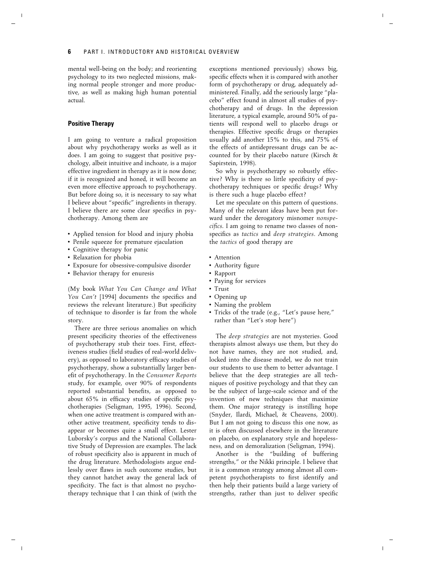mental well-being on the body; and reorienting psychology to its two neglected missions, making normal people stronger and more productive, as well as making high human potential actual.

#### **Positive Therapy**

I am going to venture a radical proposition about why psychotherapy works as well as it does. I am going to suggest that positive psychology, albeit intuitive and inchoate, is a major effective ingredient in therapy as it is now done; if it is recognized and honed, it will become an even more effective approach to psychotherapy. But before doing so, it is necessary to say what I believe about "specific" ingredients in therapy. I believe there are some clear specifics in psychotherapy. Among them are

- Applied tension for blood and injury phobia
- Penile squeeze for premature ejaculation
- Cognitive therapy for panic
- Relaxation for phobia
- Exposure for obsessive-compulsive disorder
- Behavior therapy for enuresis

(My book *What You Can Change and What You Can't* [1994] documents the specifics and reviews the relevant literature.) But specificity of technique to disorder is far from the whole story.

There are three serious anomalies on which present specificity theories of the effectiveness of psychotherapy stub their toes. First, effectiveness studies (field studies of real-world delivery), as opposed to laboratory efficacy studies of psychotherapy, show a substantially larger benefit of psychotherapy. In the *Consumer Reports* study, for example, over 90% of respondents reported substantial benefits, as opposed to about 65% in efficacy studies of specific psychotherapies (Seligman, 1995, 1996). Second, when one active treatment is compared with another active treatment, specificity tends to disappear or becomes quite a small effect. Lester Luborsky's corpus and the National Collaborative Study of Depression are examples. The lack of robust specificity also is apparent in much of the drug literature. Methodologists argue endlessly over flaws in such outcome studies, but they cannot hatchet away the general lack of specificity. The fact is that almost no psychotherapy technique that I can think of (with the

exceptions mentioned previously) shows big, specific effects when it is compared with another form of psychotherapy or drug, adequately administered. Finally, add the seriously large "placebo" effect found in almost all studies of psychotherapy and of drugs. In the depression literature, a typical example, around 50% of patients will respond well to placebo drugs or therapies. Effective specific drugs or therapies usually add another 15% to this, and 75% of the effects of antidepressant drugs can be accounted for by their placebo nature (Kirsch & Sapirstein, 1998).

So why is psychotherapy so robustly effective? Why is there so little specificity of psychotherapy techniques or specific drugs? Why is there such a huge placebo effect?

Let me speculate on this pattern of questions. Many of the relevant ideas have been put forward under the derogatory misnomer *nonspecifics.* I am going to rename two classes of nonspecifics as *tactics* and *deep strategies*. Among the *tactics* of good therapy are

- Attention
- Authority figure
- Rapport
- Paying for services
- Trust
- Opening up
- Naming the problem
- Tricks of the trade (e.g., "Let's pause here," rather than "Let's stop here")

The *deep strategies* are not mysteries. Good therapists almost always use them, but they do not have names, they are not studied, and, locked into the disease model, we do not train our students to use them to better advantage. I believe that the deep strategies are all techniques of positive psychology and that they can be the subject of large-scale science and of the invention of new techniques that maximize them. One major strategy is instilling hope (Snyder, Ilardi, Michael, & Cheavens, 2000). But I am not going to discuss this one now, as it is often discussed elsewhere in the literature on placebo, on explanatory style and hopelessness, and on demoralization (Seligman, 1994).

Another is the "building of buffering strengths," or the Nikki principle. I believe that it is a common strategy among almost all competent psychotherapists to first identify and then help their patients build a large variety of strengths, rather than just to deliver specific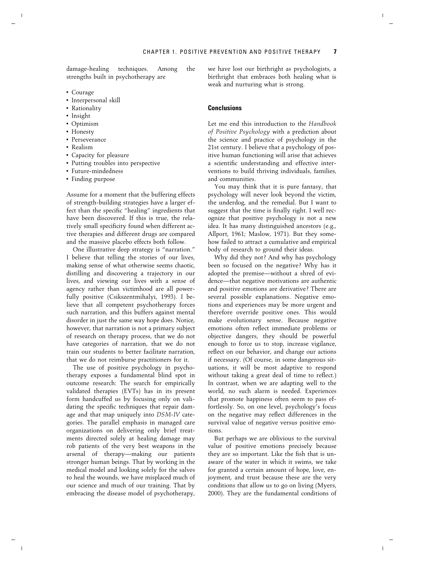damage-healing techniques. Among the strengths built in psychotherapy are

- Courage
- Interpersonal skill
- Rationality
- Insight
- Optimism
- Honesty
- Perseverance
- Realism
- Capacity for pleasure
- Putting troubles into perspective
- Future-mindedness
- Finding purpose

Assume for a moment that the buffering effects of strength-building strategies have a larger effect than the specific "healing" ingredients that have been discovered. If this is true, the relatively small specificity found when different active therapies and different drugs are compared and the massive placebo effects both follow.

One illustrative deep strategy is "narration." I believe that telling the stories of our lives, making sense of what otherwise seems chaotic, distilling and discovering a trajectory in our lives, and viewing our lives with a sense of agency rather than victimhood are all powerfully positive (Csikszentmihalyi, 1993). I believe that all competent psychotherapy forces such narration, and this buffers against mental disorder in just the same way hope does. Notice, however, that narration is not a primary subject of research on therapy process, that we do not have categories of narration, that we do not train our students to better facilitate narration, that we do not reimburse practitioners for it.

The use of positive psychology in psychotherapy exposes a fundamental blind spot in outcome research: The search for empirically validated therapies (EVTs) has in its present form handcuffed us by focusing only on validating the specific techniques that repair damage and that map uniquely into *DSM-IV* categories. The parallel emphasis in managed care organizations on delivering only brief treatments directed solely at healing damage may rob patients of the very best weapons in the arsenal of therapy—making our patients stronger human beings. That by working in the medical model and looking solely for the salves to heal the wounds, we have misplaced much of our science and much of our training. That by embracing the disease model of psychotherapy, we have lost our birthright as psychologists, a birthright that embraces both healing what is weak and nurturing what is strong.

#### **Conclusions**

Let me end this introduction to the *Handbook of Positive Psychology* with a prediction about the science and practice of psychology in the 21st century. I believe that a psychology of positive human functioning will arise that achieves a scientific understanding and effective interventions to build thriving individuals, families, and communities.

You may think that it is pure fantasy, that psychology will never look beyond the victim, the underdog, and the remedial. But I want to suggest that the time is finally right. I well recognize that positive psychology is not a new idea. It has many distinguished ancestors (e.g., Allport, 1961; Maslow, 1971). But they somehow failed to attract a cumulative and empirical body of research to ground their ideas.

Why did they not? And why has psychology been so focused on the negative? Why has it adopted the premise—without a shred of evidence—that negative motivations are authentic and positive emotions are derivative? There are several possible explanations. Negative emotions and experiences may be more urgent and therefore override positive ones. This would make evolutionary sense. Because negative emotions often reflect immediate problems or objective dangers, they should be powerful enough to force us to stop, increase vigilance, reflect on our behavior, and change our actions if necessary. (Of course, in some dangerous situations, it will be most adaptive to respond without taking a great deal of time to reflect.) In contrast, when we are adapting well to the world, no such alarm is needed. Experiences that promote happiness often seem to pass effortlessly. So, on one level, psychology's focus on the negative may reflect differences in the survival value of negative versus positive emotions.

But perhaps we are oblivious to the survival value of positive emotions precisely because they are so important. Like the fish that is unaware of the water in which it swims, we take for granted a certain amount of hope, love, enjoyment, and trust because these are the very conditions that allow us to go on living (Myers, 2000). They are the fundamental conditions of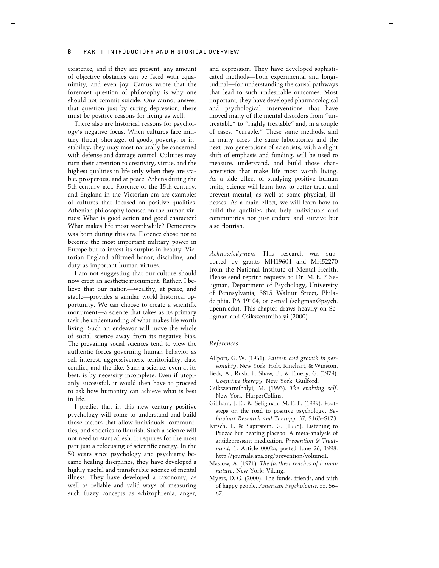existence, and if they are present, any amount of objective obstacles can be faced with equanimity, and even joy. Camus wrote that the foremost question of philosophy is why one should not commit suicide. One cannot answer that question just by curing depression; there must be positive reasons for living as well.

There also are historical reasons for psychology's negative focus. When cultures face military threat, shortages of goods, poverty, or instability, they may most naturally be concerned with defense and damage control. Cultures may turn their attention to creativity, virtue, and the highest qualities in life only when they are stable, prosperous, and at peace. Athens during the 5th century b.c., Florence of the 15th century, and England in the Victorian era are examples of cultures that focused on positive qualities. Athenian philosophy focused on the human virtues: What is good action and good character? What makes life most worthwhile? Democracy was born during this era. Florence chose not to become the most important military power in Europe but to invest its surplus in beauty. Victorian England affirmed honor, discipline, and duty as important human virtues.

I am not suggesting that our culture should now erect an aesthetic monument. Rather, I believe that our nation—wealthy, at peace, and stable—provides a similar world historical opportunity. We can choose to create a scientific monument—a science that takes as its primary task the understanding of what makes life worth living. Such an endeavor will move the whole of social science away from its negative bias. The prevailing social sciences tend to view the authentic forces governing human behavior as self-interest, aggressiveness, territoriality, class conflict, and the like. Such a science, even at its best, is by necessity incomplete. Even if utopianly successful, it would then have to proceed to ask how humanity can achieve what is best in life.

I predict that in this new century positive psychology will come to understand and build those factors that allow individuals, communities, and societies to flourish. Such a science will not need to start afresh. It requires for the most part just a refocusing of scientific energy. In the 50 years since psychology and psychiatry became healing disciplines, they have developed a highly useful and transferable science of mental illness. They have developed a taxonomy, as well as reliable and valid ways of measuring such fuzzy concepts as schizophrenia, anger,

and depression. They have developed sophisticated methods—both experimental and longitudinal—for understanding the causal pathways that lead to such undesirable outcomes. Most important, they have developed pharmacological and psychological interventions that have moved many of the mental disorders from "untreatable" to "highly treatable" and, in a couple of cases, "curable." These same methods, and in many cases the same laboratories and the next two generations of scientists, with a slight shift of emphasis and funding, will be used to measure, understand, and build those characteristics that make life most worth living. As a side effect of studying positive human traits, science will learn how to better treat and prevent mental, as well as some physical, illnesses. As a main effect, we will learn how to build the qualities that help individuals and communities not just endure and survive but also flourish.

*Acknowledgment* This research was supported by grants MH19604 and MH52270 from the National Institute of Mental Health. Please send reprint requests to Dr. M. E. P Seligman, Department of Psychology, University of Pennsylvania, 3815 Walnut Street, Philadelphia, PA 19104, or e-mail (seligman@psych. upenn.edu). This chapter draws heavily on Seligman and Csikszentmihalyi (2000).

#### *References*

- Allport, G. W. (1961). *Pattern and growth in personality*. New York: Holt, Rinehart, & Winston.
- Beck, A., Rush, J., Shaw, B., & Emery, G. (1979). *Cognitive therapy*. New York: Guilford.
- Csikszentmihalyi, M. (1993). *The evolving self*. New York: HarperCollins.
- Gillham, J. E., & Seligman, M. E. P. (1999). Footsteps on the road to positive psychology. *Behaviour Research and Therapy, 37*, S163–S173.
- Kirsch, I., & Sapirstein, G. (1998). Listening to Prozac but hearing placebo: A meta-analysis of antidepressant medication. *Prevention & Treatment*, 1, Article 0002a, posted June 26, 1998. http://journals.apa.org/prevention/volume1.
- Maslow, A. (1971). *The farthest reaches of human nature*. New York: Viking.
- Myers, D. G. (2000). The funds, friends, and faith of happy people. *American Psychologist, 55*, 56– 67.